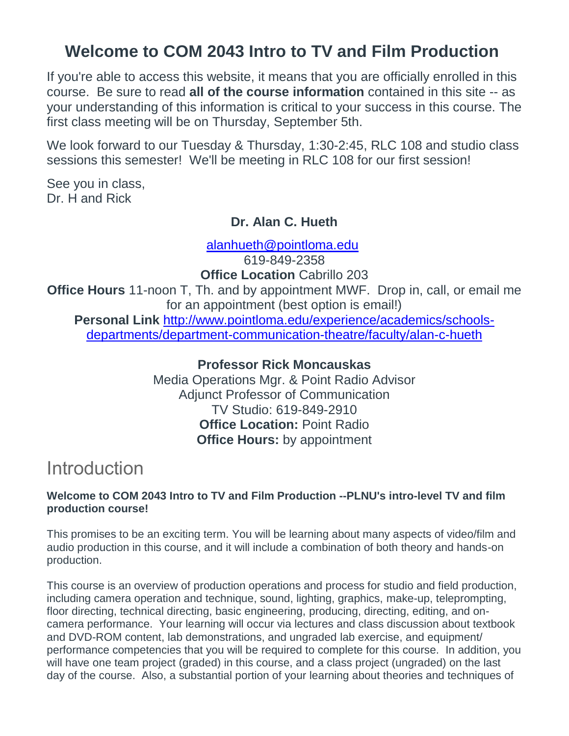## **Welcome to COM 2043 Intro to TV and Film Production**

If you're able to access this website, it means that you are officially enrolled in this course. Be sure to read **all of the course information** contained in this site -- as your understanding of this information is critical to your success in this course. The first class meeting will be on Thursday, September 5th.

We look forward to our Tuesday & Thursday, 1:30-2:45, RLC 108 and studio class sessions this semester! We'll be meeting in RLC 108 for our first session!

See you in class, Dr. H and Rick

### **Dr. Alan C. Hueth**

[alanhueth@pointloma.edu](mailto:alanhueth@pointloma.edu)

619-849-2358 **Office Location** Cabrillo 203

**Office Hours** 11-noon T, Th. and by appointment MWF. Drop in, call, or email me for an appointment (best option is email!)

**Personal Link** [http://www.pointloma.edu/experience/academics/schools](http://www.pointloma.edu/experience/academics/schools-departments/department-communication-theatre/faculty/alan-c-hueth)[departments/department-communication-theatre/faculty/alan-c-hueth](http://www.pointloma.edu/experience/academics/schools-departments/department-communication-theatre/faculty/alan-c-hueth)

### **Professor Rick Moncauskas**

Media Operations Mgr. & Point Radio Advisor Adjunct Professor of Communication TV Studio: 619-849-2910 **Office Location:** Point Radio **Office Hours:** by appointment

## Introduction

#### **Welcome to COM 2043 Intro to TV and Film Production --PLNU's intro-level TV and film production course!**

This promises to be an exciting term. You will be learning about many aspects of video/film and audio production in this course, and it will include a combination of both theory and hands-on production.

This course is an overview of production operations and process for studio and field production, including camera operation and technique, sound, lighting, graphics, make-up, teleprompting, floor directing, technical directing, basic engineering, producing, directing, editing, and oncamera performance. Your learning will occur via lectures and class discussion about textbook and DVD-ROM content, lab demonstrations, and ungraded lab exercise, and equipment/ performance competencies that you will be required to complete for this course. In addition, you will have one team project (graded) in this course, and a class project (ungraded) on the last day of the course. Also, a substantial portion of your learning about theories and techniques of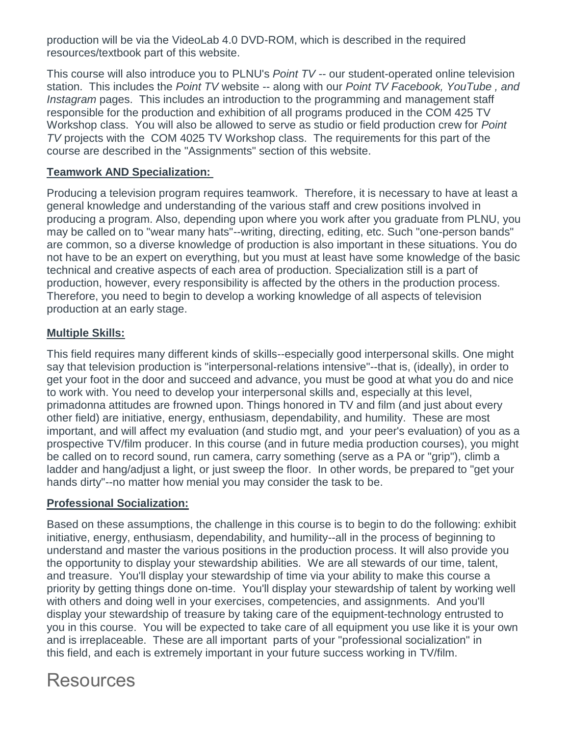production will be via the VideoLab 4.0 DVD-ROM, which is described in the required resources/textbook part of this website.

This course will also introduce you to PLNU's *Point TV --* our student-operated online television station. This includes the *Point TV* website -- along with our *Point TV Facebook, YouTube , and Instagram* pages. This includes an introduction to the programming and management staff responsible for the production and exhibition of all programs produced in the COM 425 TV Workshop class. You will also be allowed to serve as studio or field production crew for *Point TV* projects with the COM 4025 TV Workshop class. The requirements for this part of the course are described in the "Assignments" section of this website.

#### **Teamwork AND Specialization:**

Producing a television program requires teamwork. Therefore, it is necessary to have at least a general knowledge and understanding of the various staff and crew positions involved in producing a program. Also, depending upon where you work after you graduate from PLNU, you may be called on to "wear many hats"--writing, directing, editing, etc. Such "one-person bands" are common, so a diverse knowledge of production is also important in these situations. You do not have to be an expert on everything, but you must at least have some knowledge of the basic technical and creative aspects of each area of production. Specialization still is a part of production, however, every responsibility is affected by the others in the production process. Therefore, you need to begin to develop a working knowledge of all aspects of television production at an early stage.

#### **Multiple Skills:**

This field requires many different kinds of skills--especially good interpersonal skills. One might say that television production is "interpersonal-relations intensive"--that is, (ideally), in order to get your foot in the door and succeed and advance, you must be good at what you do and nice to work with. You need to develop your interpersonal skills and, especially at this level, primadonna attitudes are frowned upon. Things honored in TV and film (and just about every other field) are initiative, energy, enthusiasm, dependability, and humility. These are most important, and will affect my evaluation (and studio mgt, and your peer's evaluation) of you as a prospective TV/film producer. In this course (and in future media production courses), you might be called on to record sound, run camera, carry something (serve as a PA or "grip"), climb a ladder and hang/adjust a light, or just sweep the floor. In other words, be prepared to "get your hands dirty"--no matter how menial you may consider the task to be.

#### **Professional Socialization:**

Based on these assumptions, the challenge in this course is to begin to do the following: exhibit initiative, energy, enthusiasm, dependability, and humility--all in the process of beginning to understand and master the various positions in the production process. It will also provide you the opportunity to display your stewardship abilities. We are all stewards of our time, talent, and treasure. You'll display your stewardship of time via your ability to make this course a priority by getting things done on-time. You'll display your stewardship of talent by working well with others and doing well in your exercises, competencies, and assignments. And you'll display your stewardship of treasure by taking care of the equipment-technology entrusted to you in this course. You will be expected to take care of all equipment you use like it is your own and is irreplaceable. These are all important parts of your "professional socialization" in this field, and each is extremely important in your future success working in TV/film.

## Resources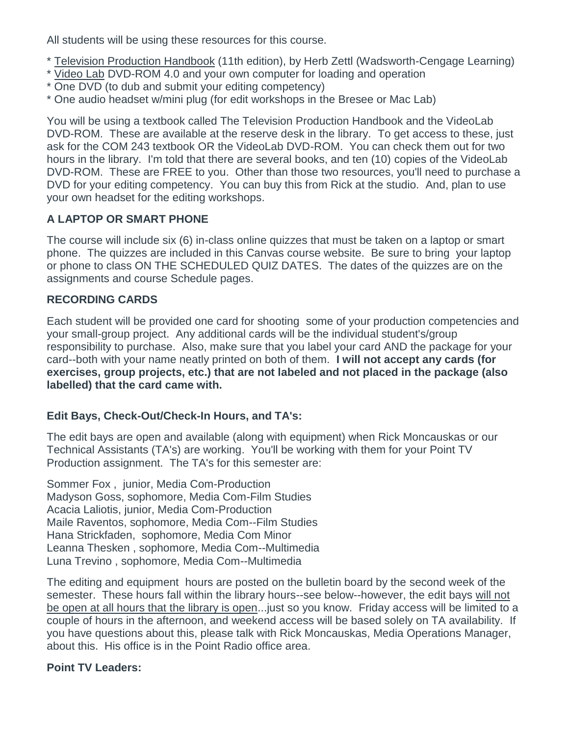All students will be using these resources for this course.

- \* Television Production Handbook (11th edition), by Herb Zettl (Wadsworth-Cengage Learning)
- \* Video Lab DVD-ROM 4.0 and your own computer for loading and operation
- \* One DVD (to dub and submit your editing competency)
- \* One audio headset w/mini plug (for edit workshops in the Bresee or Mac Lab)

You will be using a textbook called The Television Production Handbook and the VideoLab DVD-ROM. These are available at the reserve desk in the library. To get access to these, just ask for the COM 243 textbook OR the VideoLab DVD-ROM. You can check them out for two hours in the library. I'm told that there are several books, and ten (10) copies of the VideoLab DVD-ROM. These are FREE to you. Other than those two resources, you'll need to purchase a DVD for your editing competency. You can buy this from Rick at the studio. And, plan to use your own headset for the editing workshops.

### **A LAPTOP OR SMART PHONE**

The course will include six (6) in-class online quizzes that must be taken on a laptop or smart phone. The quizzes are included in this Canvas course website. Be sure to bring your laptop or phone to class ON THE SCHEDULED QUIZ DATES. The dates of the quizzes are on the assignments and course Schedule pages.

### **RECORDING CARDS**

Each student will be provided one card for shooting some of your production competencies and your small-group project. Any additional cards will be the individual student's/group responsibility to purchase. Also, make sure that you label your card AND the package for your card--both with your name neatly printed on both of them. **I will not accept any cards (for exercises, group projects, etc.) that are not labeled and not placed in the package (also labelled) that the card came with.**

### **Edit Bays, Check-Out/Check-In Hours, and TA's:**

The edit bays are open and available (along with equipment) when Rick Moncauskas or our Technical Assistants (TA's) are working. You'll be working with them for your Point TV Production assignment. The TA's for this semester are:

Sommer Fox , junior, Media Com-Production Madyson Goss, sophomore, Media Com-Film Studies Acacia Laliotis, junior, Media Com-Production Maile Raventos, sophomore, Media Com--Film Studies Hana Strickfaden, sophomore, Media Com Minor Leanna Thesken , sophomore, Media Com--Multimedia Luna Trevino , sophomore, Media Com--Multimedia

The editing and equipment hours are posted on the bulletin board by the second week of the semester. These hours fall within the library hours--see below--however, the edit bays will not be open at all hours that the library is open...just so you know. Friday access will be limited to a couple of hours in the afternoon, and weekend access will be based solely on TA availability. If you have questions about this, please talk with Rick Moncauskas, Media Operations Manager, about this. His office is in the Point Radio office area.

### **Point TV Leaders:**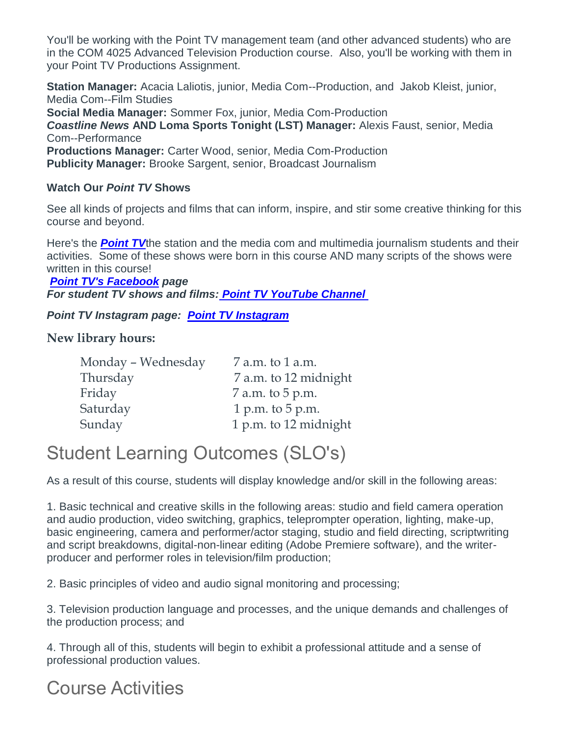You'll be working with the Point TV management team (and other advanced students) who are in the COM 4025 Advanced Television Production course. Also, you'll be working with them in your Point TV Productions Assignment.

**Station Manager:** Acacia Laliotis, junior, Media Com--Production, and Jakob Kleist, junior, Media Com--Film Studies

**Social Media Manager:** Sommer Fox, junior, Media Com-Production

*Coastline News* **AND Loma Sports Tonight (LST) Manager:** Alexis Faust, senior, Media Com--Performance

**Productions Manager:** Carter Wood, senior, Media Com-Production **Publicity Manager:** Brooke Sargent, senior, Broadcast Journalism

#### **Watch Our** *Point TV* **Shows**

See all kinds of projects and films that can inform, inspire, and stir some creative thinking for this course and beyond.

Here's the *[Point TV](https://pointtvplnu.com/)*the station and the media com and multimedia journalism students and their activities. Some of these shows were born in this course AND many scripts of the shows were written in this course!

*[Point TV's Facebook](https://www.facebook.com/pages/Point-TV/447038881997027?ref=hl) page For student TV shows and films: [Point TV YouTube Channel](https://www.youtube.com/channel/UCbSHEdR_GA73Wpay3g4OuBQ)*

*Point TV Instagram page: [Point TV Instagram](https://www.instagram.com/pointtvplnu/?utm_source=ig_profile_share&igshid=vbmuuhg5anps)*

### **New library hours:**

| Monday - Wednesday | 7 a.m. to 1 a.m.      |
|--------------------|-----------------------|
| Thursday           | 7 a.m. to 12 midnight |
| Friday             | 7 a.m. to 5 p.m.      |
| Saturday           | 1 p.m. to $5$ p.m.    |
| Sunday             | 1 p.m. to 12 midnight |

# Student Learning Outcomes (SLO's)

As a result of this course, students will display knowledge and/or skill in the following areas:

1. Basic technical and creative skills in the following areas: studio and field camera operation and audio production, video switching, graphics, teleprompter operation, lighting, make-up, basic engineering, camera and performer/actor staging, studio and field directing, scriptwriting and script breakdowns, digital-non-linear editing (Adobe Premiere software), and the writerproducer and performer roles in television/film production;

2. Basic principles of video and audio signal monitoring and processing;

3. Television production language and processes, and the unique demands and challenges of the production process; and

4. Through all of this, students will begin to exhibit a professional attitude and a sense of professional production values.

## Course Activities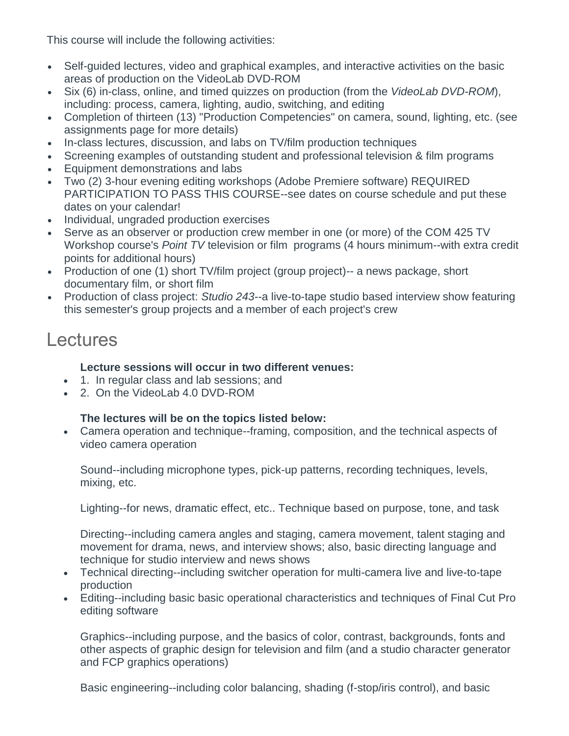This course will include the following activities:

- Self-guided lectures, video and graphical examples, and interactive activities on the basic areas of production on the VideoLab DVD-ROM
- Six (6) in-class, online, and timed quizzes on production (from the *VideoLab DVD-ROM*), including: process, camera, lighting, audio, switching, and editing
- Completion of thirteen (13) "Production Competencies" on camera, sound, lighting, etc. (see assignments page for more details)
- In-class lectures, discussion, and labs on TV/film production techniques
- Screening examples of outstanding student and professional television & film programs
- Equipment demonstrations and labs
- Two (2) 3-hour evening editing workshops (Adobe Premiere software) REQUIRED PARTICIPATION TO PASS THIS COURSE--see dates on course schedule and put these dates on your calendar!
- Individual, ungraded production exercises
- Serve as an observer or production crew member in one (or more) of the COM 425 TV Workshop course's *Point TV* television or film programs (4 hours minimum--with extra credit points for additional hours)
- Production of one (1) short TV/film project (group project)-- a news package, short documentary film, or short film
- Production of class project: *Studio 243*--a live-to-tape studio based interview show featuring this semester's group projects and a member of each project's crew

## Lectures

#### **Lecture sessions will occur in two different venues:**

- 1. In regular class and lab sessions; and
- 2. On the VideoLab 4.0 DVD-ROM

### **The lectures will be on the topics listed below:**

 Camera operation and technique--framing, composition, and the technical aspects of video camera operation

Sound--including microphone types, pick-up patterns, recording techniques, levels, mixing, etc.

Lighting--for news, dramatic effect, etc.. Technique based on purpose, tone, and task

Directing--including camera angles and staging, camera movement, talent staging and movement for drama, news, and interview shows; also, basic directing language and technique for studio interview and news shows

- Technical directing--including switcher operation for multi-camera live and live-to-tape production
- Editing--including basic basic operational characteristics and techniques of Final Cut Pro editing software

Graphics--including purpose, and the basics of color, contrast, backgrounds, fonts and other aspects of graphic design for television and film (and a studio character generator and FCP graphics operations)

Basic engineering--including color balancing, shading (f-stop/iris control), and basic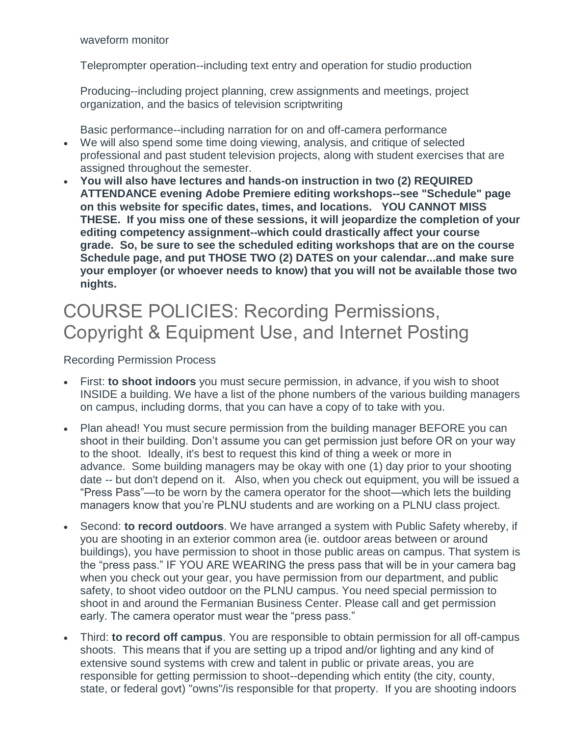waveform monitor

Teleprompter operation--including text entry and operation for studio production

Producing--including project planning, crew assignments and meetings, project organization, and the basics of television scriptwriting

Basic performance--including narration for on and off-camera performance

- We will also spend some time doing viewing, analysis, and critique of selected professional and past student television projects, along with student exercises that are assigned throughout the semester.
- **You will also have lectures and hands-on instruction in two (2) REQUIRED ATTENDANCE evening Adobe Premiere editing workshops--see "Schedule" page on this website for specific dates, times, and locations. YOU CANNOT MISS THESE. If you miss one of these sessions, it will jeopardize the completion of your editing competency assignment--which could drastically affect your course grade. So, be sure to see the scheduled editing workshops that are on the course Schedule page, and put THOSE TWO (2) DATES on your calendar...and make sure your employer (or whoever needs to know) that you will not be available those two nights.**

## COURSE POLICIES: Recording Permissions, Copyright & Equipment Use, and Internet Posting

#### Recording Permission Process

- First: **to shoot indoors** you must secure permission, in advance, if you wish to shoot INSIDE a building. We have a list of the phone numbers of the various building managers on campus, including dorms, that you can have a copy of to take with you.
- Plan ahead! You must secure permission from the building manager BEFORE you can shoot in their building. Don't assume you can get permission just before OR on your way to the shoot. Ideally, it's best to request this kind of thing a week or more in advance. Some building managers may be okay with one (1) day prior to your shooting date -- but don't depend on it. Also, when you check out equipment, you will be issued a "Press Pass"—to be worn by the camera operator for the shoot—which lets the building managers know that you're PLNU students and are working on a PLNU class project.
- Second: **to record outdoors**. We have arranged a system with Public Safety whereby, if you are shooting in an exterior common area (ie. outdoor areas between or around buildings), you have permission to shoot in those public areas on campus. That system is the "press pass." IF YOU ARE WEARING the press pass that will be in your camera bag when you check out your gear, you have permission from our department, and public safety, to shoot video outdoor on the PLNU campus. You need special permission to shoot in and around the Fermanian Business Center. Please call and get permission early. The camera operator must wear the "press pass."
- Third: **to record off campus**. You are responsible to obtain permission for all off-campus shoots. This means that if you are setting up a tripod and/or lighting and any kind of extensive sound systems with crew and talent in public or private areas, you are responsible for getting permission to shoot--depending which entity (the city, county, state, or federal govt) "owns"/is responsible for that property. If you are shooting indoors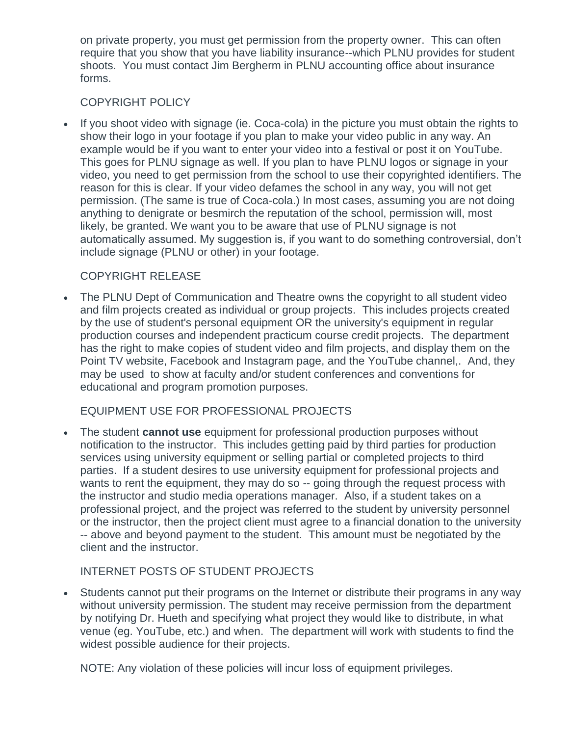on private property, you must get permission from the property owner. This can often require that you show that you have liability insurance--which PLNU provides for student shoots. You must contact Jim Bergherm in PLNU accounting office about insurance forms.

#### COPYRIGHT POLICY

 If you shoot video with signage (ie. Coca-cola) in the picture you must obtain the rights to show their logo in your footage if you plan to make your video public in any way. An example would be if you want to enter your video into a festival or post it on YouTube. This goes for PLNU signage as well. If you plan to have PLNU logos or signage in your video, you need to get permission from the school to use their copyrighted identifiers. The reason for this is clear. If your video defames the school in any way, you will not get permission. (The same is true of Coca-cola.) In most cases, assuming you are not doing anything to denigrate or besmirch the reputation of the school, permission will, most likely, be granted. We want you to be aware that use of PLNU signage is not automatically assumed. My suggestion is, if you want to do something controversial, don't include signage (PLNU or other) in your footage.

#### COPYRIGHT RELEASE

 The PLNU Dept of Communication and Theatre owns the copyright to all student video and film projects created as individual or group projects. This includes projects created by the use of student's personal equipment OR the university's equipment in regular production courses and independent practicum course credit projects. The department has the right to make copies of student video and film projects, and display them on the Point TV website, Facebook and Instagram page, and the YouTube channel,. And, they may be used to show at faculty and/or student conferences and conventions for educational and program promotion purposes.

#### EQUIPMENT USE FOR PROFESSIONAL PROJECTS

 The student **cannot use** equipment for professional production purposes without notification to the instructor. This includes getting paid by third parties for production services using university equipment or selling partial or completed projects to third parties. If a student desires to use university equipment for professional projects and wants to rent the equipment, they may do so -- going through the request process with the instructor and studio media operations manager. Also, if a student takes on a professional project, and the project was referred to the student by university personnel or the instructor, then the project client must agree to a financial donation to the university -- above and beyond payment to the student. This amount must be negotiated by the client and the instructor.

### INTERNET POSTS OF STUDENT PROJECTS

 Students cannot put their programs on the Internet or distribute their programs in any way without university permission. The student may receive permission from the department by notifying Dr. Hueth and specifying what project they would like to distribute, in what venue (eg. YouTube, etc.) and when. The department will work with students to find the widest possible audience for their projects.

NOTE: Any violation of these policies will incur loss of equipment privileges.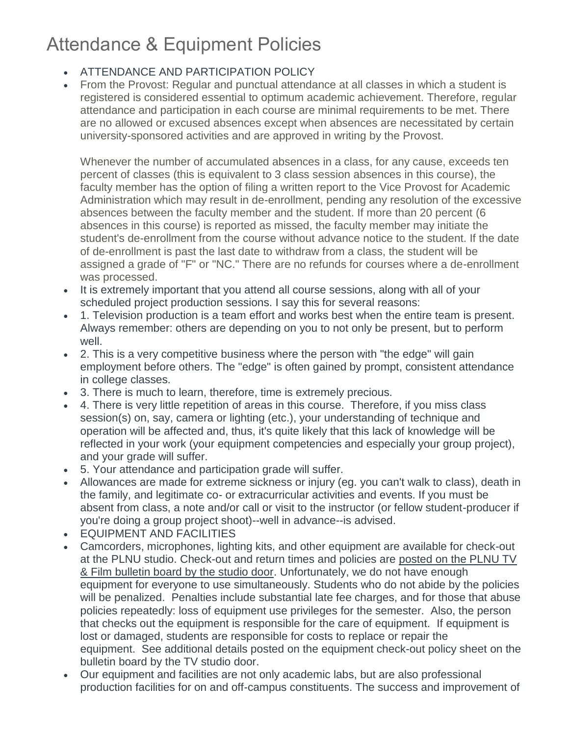# Attendance & Equipment Policies

- **ATTENDANCE AND PARTICIPATION POLICY**
- From the Provost: Regular and punctual attendance at all classes in which a student is registered is considered essential to optimum academic achievement. Therefore, regular attendance and participation in each course are minimal requirements to be met. There are no allowed or excused absences except when absences are necessitated by certain university-sponsored activities and are approved in writing by the Provost.

Whenever the number of accumulated absences in a class, for any cause, exceeds ten percent of classes (this is equivalent to 3 class session absences in this course), the faculty member has the option of filing a written report to the Vice Provost for Academic Administration which may result in de-enrollment, pending any resolution of the excessive absences between the faculty member and the student. If more than 20 percent (6 absences in this course) is reported as missed, the faculty member may initiate the student's de-enrollment from the course without advance notice to the student. If the date of de-enrollment is past the last date to withdraw from a class, the student will be assigned a grade of "F" or "NC." There are no refunds for courses where a de-enrollment was processed.

- It is extremely important that you attend all course sessions, along with all of your scheduled project production sessions. I say this for several reasons:
- 1. Television production is a team effort and works best when the entire team is present. Always remember: others are depending on you to not only be present, but to perform well.
- 2. This is a very competitive business where the person with "the edge" will gain employment before others. The "edge" is often gained by prompt, consistent attendance in college classes.
- 3. There is much to learn, therefore, time is extremely precious.
- 4. There is very little repetition of areas in this course. Therefore, if you miss class session(s) on, say, camera or lighting (etc.), your understanding of technique and operation will be affected and, thus, it's quite likely that this lack of knowledge will be reflected in your work (your equipment competencies and especially your group project), and your grade will suffer.
- 5. Your attendance and participation grade will suffer.
- Allowances are made for extreme sickness or injury (eg. you can't walk to class), death in the family, and legitimate co- or extracurricular activities and events. If you must be absent from class, a note and/or call or visit to the instructor (or fellow student-producer if you're doing a group project shoot)--well in advance--is advised.
- EQUIPMENT AND FACILITIES
- Camcorders, microphones, lighting kits, and other equipment are available for check-out at the PLNU studio. Check-out and return times and policies are posted on the PLNU TV & Film bulletin board by the studio door. Unfortunately, we do not have enough equipment for everyone to use simultaneously. Students who do not abide by the policies will be penalized. Penalties include substantial late fee charges, and for those that abuse policies repeatedly: loss of equipment use privileges for the semester. Also, the person that checks out the equipment is responsible for the care of equipment. If equipment is lost or damaged, students are responsible for costs to replace or repair the equipment. See additional details posted on the equipment check-out policy sheet on the bulletin board by the TV studio door.
- Our equipment and facilities are not only academic labs, but are also professional production facilities for on and off-campus constituents. The success and improvement of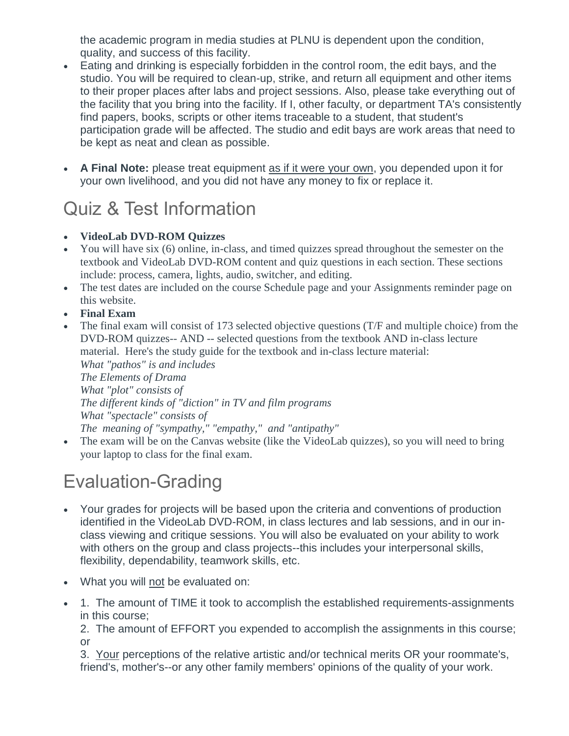the academic program in media studies at PLNU is dependent upon the condition, quality, and success of this facility.

- Eating and drinking is especially forbidden in the control room, the edit bays, and the studio. You will be required to clean-up, strike, and return all equipment and other items to their proper places after labs and project sessions. Also, please take everything out of the facility that you bring into the facility. If I, other faculty, or department TA's consistently find papers, books, scripts or other items traceable to a student, that student's participation grade will be affected. The studio and edit bays are work areas that need to be kept as neat and clean as possible.
- **A Final Note:** please treat equipment as if it were your own, you depended upon it for your own livelihood, and you did not have any money to fix or replace it.

# Quiz & Test Information

- **VideoLab DVD-ROM Quizzes**
- You will have six (6) online, in-class, and timed quizzes spread throughout the semester on the textbook and VideoLab DVD-ROM content and quiz questions in each section. These sections include: process, camera, lights, audio, switcher, and editing.
- The test dates are included on the course Schedule page and your Assignments reminder page on this website.
- **Final Exam**
- The final exam will consist of 173 selected objective questions (T/F and multiple choice) from the DVD-ROM quizzes-- AND -- selected questions from the textbook AND in-class lecture material. Here's the study guide for the textbook and in-class lecture material: *What "pathos" is and includes The Elements of Drama What "plot" consists of The different kinds of "diction" in TV and film programs What "spectacle" consists of The meaning of "sympathy," "empathy," and "antipathy"*
- The exam will be on the Canvas website (like the VideoLab quizzes), so you will need to bring your laptop to class for the final exam.

# Evaluation-Grading

- Your grades for projects will be based upon the criteria and conventions of production identified in the VideoLab DVD-ROM, in class lectures and lab sessions, and in our inclass viewing and critique sessions. You will also be evaluated on your ability to work with others on the group and class projects--this includes your interpersonal skills, flexibility, dependability, teamwork skills, etc.
- What you will not be evaluated on:
- 1. The amount of TIME it took to accomplish the established requirements-assignments in this course;

2. The amount of EFFORT you expended to accomplish the assignments in this course; or

3. Your perceptions of the relative artistic and/or technical merits OR your roommate's, friend's, mother's--or any other family members' opinions of the quality of your work.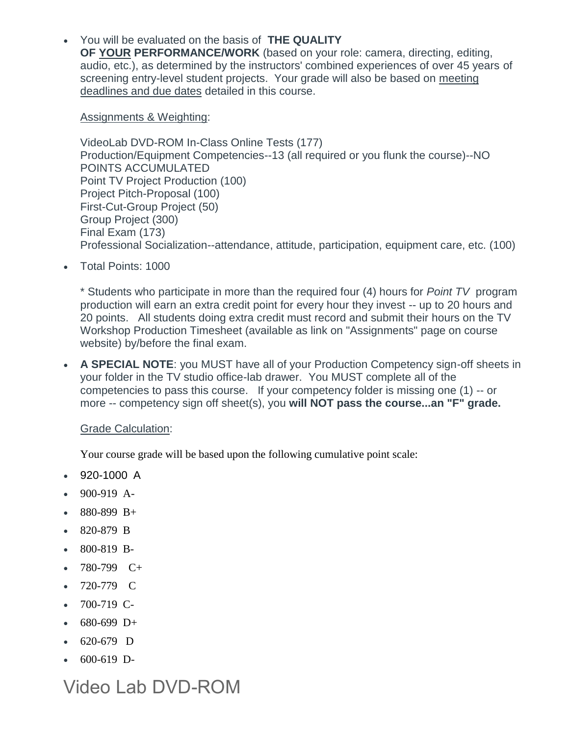You will be evaluated on the basis of **THE QUALITY OF YOUR PERFORMANCE/WORK** (based on your role: camera, directing, editing, audio, etc.), as determined by the instructors' combined experiences of over 45 years of screening entry-level student projects. Your grade will also be based on meeting deadlines and due dates detailed in this course.

Assignments & Weighting:

VideoLab DVD-ROM In-Class Online Tests (177) Production/Equipment Competencies--13 (all required or you flunk the course)--NO POINTS ACCUMULATED Point TV Project Production (100) Project Pitch-Proposal (100) First-Cut-Group Project (50) Group Project (300) Final Exam (173) Professional Socialization--attendance, attitude, participation, equipment care, etc. (100)

Total Points: 1000

\* Students who participate in more than the required four (4) hours for *Point TV* program production will earn an extra credit point for every hour they invest -- up to 20 hours and 20 points. All students doing extra credit must record and submit their hours on the TV Workshop Production Timesheet (available as link on "Assignments" page on course website) by/before the final exam.

 **A SPECIAL NOTE**: you MUST have all of your Production Competency sign-off sheets in your folder in the TV studio office-lab drawer. You MUST complete all of the competencies to pass this course. If your competency folder is missing one (1) -- or more -- competency sign off sheet(s), you **will NOT pass the course...an "F" grade.**

**Grade Calculation:** 

Your course grade will be based upon the following cumulative point scale:

- 920-1000 A
- 900-919 A-
- 880-899 B+
- 820-879 B
- 800-819 B-
- 780-799 C+
- 720-779 C
- $-700-719$  C-
- $680-699$  D+
- 620-679 D
- $600-619$  D-

Video Lab DVD-ROM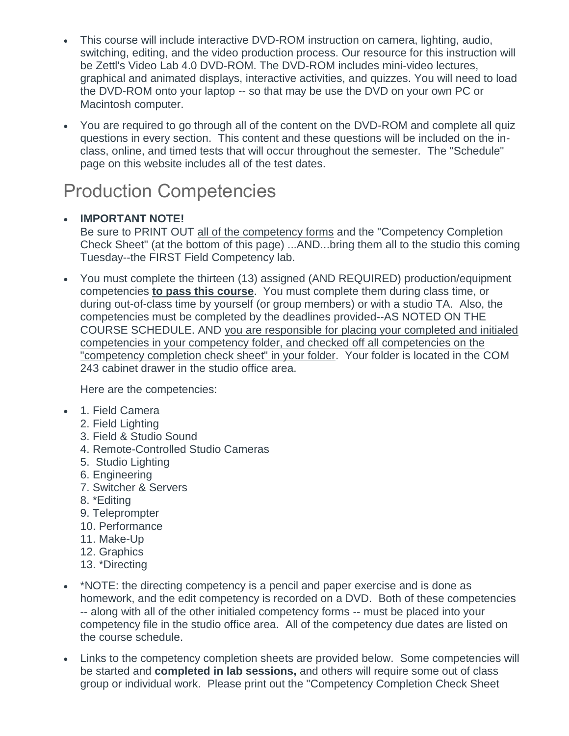- This course will include interactive DVD-ROM instruction on camera, lighting, audio, switching, editing, and the video production process. Our resource for this instruction will be Zettl's Video Lab 4.0 DVD-ROM. The DVD-ROM includes mini-video lectures, graphical and animated displays, interactive activities, and quizzes. You will need to load the DVD-ROM onto your laptop -- so that may be use the DVD on your own PC or Macintosh computer.
- You are required to go through all of the content on the DVD-ROM and complete all quiz questions in every section. This content and these questions will be included on the inclass, online, and timed tests that will occur throughout the semester. The "Schedule" page on this website includes all of the test dates.

# Production Competencies

### **IMPORTANT NOTE!**

Be sure to PRINT OUT all of the competency forms and the "Competency Completion Check Sheet" (at the bottom of this page) ...AND...bring them all to the studio this coming Tuesday--the FIRST Field Competency lab.

 You must complete the thirteen (13) assigned (AND REQUIRED) production/equipment competencies **to pass this course**. You must complete them during class time, or during out-of-class time by yourself (or group members) or with a studio TA. Also, the competencies must be completed by the deadlines provided--AS NOTED ON THE COURSE SCHEDULE. AND you are responsible for placing your completed and initialed competencies in your competency folder, and checked off all competencies on the "competency completion check sheet" in your folder. Your folder is located in the COM 243 cabinet drawer in the studio office area.

Here are the competencies:

- 1. Field Camera
	- 2. Field Lighting
	- 3. Field & Studio Sound
	- 4. Remote-Controlled Studio Cameras
	- 5. Studio Lighting
	- 6. Engineering
	- 7. Switcher & Servers
	- 8. \*Editing
	- 9. Teleprompter
	- 10. Performance
	- 11. Make-Up
	- 12. Graphics
	- 13. \*Directing
- \*NOTE: the directing competency is a pencil and paper exercise and is done as homework, and the edit competency is recorded on a DVD. Both of these competencies -- along with all of the other initialed competency forms -- must be placed into your competency file in the studio office area. All of the competency due dates are listed on the course schedule.
- Links to the competency completion sheets are provided below. Some competencies will be started and **completed in lab sessions,** and others will require some out of class group or individual work. Please print out the "Competency Completion Check Sheet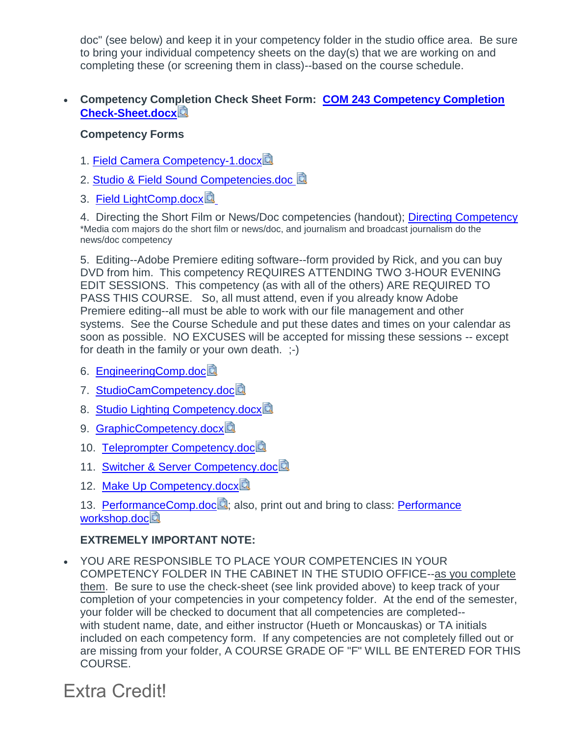doc" (see below) and keep it in your competency folder in the studio office area. Be sure to bring your individual competency sheets on the day(s) that we are working on and completing these (or screening them in class)--based on the course schedule.

#### **Competency Completion Check Sheet Form: [COM 243 Competency Completion](https://canvas.pointloma.edu/courses/45657/files/2717778/download?wrap=1)  [Check-Sheet.docx](https://canvas.pointloma.edu/courses/45657/files/2717778/download?wrap=1)**

#### **Competency Forms**

- 1. [Field Camera Competency-1.docx](https://canvas.pointloma.edu/courses/45657/files/2717732/download?wrap=1)
- 2. [Studio & Field Sound Competencies.doc](https://canvas.pointloma.edu/courses/45657/files/2717724/download?wrap=1)
- 3. [Field LightComp.docx](https://canvas.pointloma.edu/courses/45657/files/2717722/download?wrap=1)

4. Directing the Short Film or News/Doc competencies (handout); [Directing Competency](https://canvas.pointloma.edu/courses/45657/files/2717785/download?wrap=1) \*Media com majors do the short film or news/doc, and journalism and broadcast journalism do the news/doc competency

5. Editing--Adobe Premiere editing software--form provided by Rick, and you can buy DVD from him. This competency REQUIRES ATTENDING TWO 3-HOUR EVENING EDIT SESSIONS. This competency (as with all of the others) ARE REQUIRED TO PASS THIS COURSE. So, all must attend, even if you already know Adobe Premiere editing--all must be able to work with our file management and other systems. See the Course Schedule and put these dates and times on your calendar as soon as possible. NO EXCUSES will be accepted for missing these sessions -- except for death in the family or your own death. ;-)

- 6. [EngineeringComp.doc](https://canvas.pointloma.edu/courses/45657/files/2717759/download?wrap=1)
- 7. [StudioCamCompetency.doc](https://canvas.pointloma.edu/courses/45657/files/2717758/download?wrap=1)
- 8. [Studio Lighting Competency.docx](https://canvas.pointloma.edu/courses/45657/files/2717757/download?wrap=1)
- 9. [GraphicCompetency.docx](https://canvas.pointloma.edu/courses/45657/files/2717755/download?wrap=1)
- 10. [Teleprompter Competency.doc](https://canvas.pointloma.edu/courses/45657/files/2717756/download?wrap=1)
- 11. [Switcher & Server Competency.doc](https://canvas.pointloma.edu/courses/45657/files/2717725/download?wrap=1)<sup>3</sup>
- 12. [Make Up Competency.docx](https://canvas.pointloma.edu/courses/45657/files/2717752/download?wrap=1)
- 13. [PerformanceComp.doc](https://canvas.pointloma.edu/courses/45657/files/2717751/download?wrap=1)<sup>2</sup>; also, print out and bring to class: Performance [workshop.doc](https://canvas.pointloma.edu/courses/45657/files/2717720/download?wrap=1)

#### **EXTREMELY IMPORTANT NOTE:**

 YOU ARE RESPONSIBLE TO PLACE YOUR COMPETENCIES IN YOUR COMPETENCY FOLDER IN THE CABINET IN THE STUDIO OFFICE--as you complete them. Be sure to use the check-sheet (see link provided above) to keep track of your completion of your competencies in your competency folder. At the end of the semester, your folder will be checked to document that all competencies are completed- with student name, date, and either instructor (Hueth or Moncauskas) or TA initials included on each competency form. If any competencies are not completely filled out or are missing from your folder, A COURSE GRADE OF "F" WILL BE ENTERED FOR THIS COURSE.

## Extra Credit!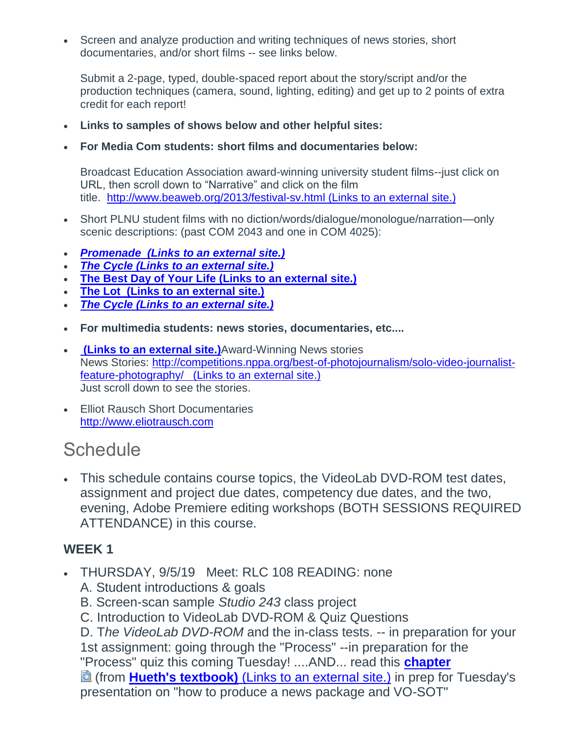Screen and analyze production and writing techniques of news stories, short documentaries, and/or short films -- see links below.

Submit a 2-page, typed, double-spaced report about the story/script and/or the production techniques (camera, sound, lighting, editing) and get up to 2 points of extra credit for each report!

- **Links to samples of shows below and other helpful sites:**
- **For Media Com students: short films and documentaries below:**

Broadcast Education Association award-winning university student films--just click on URL, then scroll down to "Narrative" and click on the film title. <http://www.beaweb.org/2013/festival-sv.html> (Links to an external site.)

- Short PLNU student films with no diction/words/dialogue/monologue/narration—only scenic descriptions: (past COM 2043 and one in COM 4025):
- *[Promenade](https://www.youtube.com/watch?v=6RG429o8S-M&list=PLWzAACvpIghe4wU2XjzbI6JPCKr_YWSAE&index=4&t=0s) (Links to an external site.)*
- *[The Cycle](https://www.youtube.com/watch?v=6OLnbOLQyKc&list=PLWzAACvpIghe4wU2XjzbI6JPCKr_YWSAE&index=7&t=0s) (Links to an external site.)*
- **[The Best Day of Your Life](https://www.youtube.com/watch?v=AWHRnvOnkZ8&list=PLWzAACvpIghe4wU2XjzbI6JPCKr_YWSAE&index=16&t=0s) (Links to an external site.)**
- **The Lot (Links to an [external](https://www.youtube.com/watch?v=dqCBDxJHatw&list=PLWzAACvpIghe4wU2XjzbI6JPCKr_YWSAE&index=21&t=0s) site.)**
- *[The Cycle](https://www.youtube.com/watch?v=6OLnbOLQyKc&list=PLWzAACvpIghe4wU2XjzbI6JPCKr_YWSAE&index=7&t=0s) (Links to an external site.)*
- **For multimedia students: news stories, documentaries, etc....**
- **(Links to an [external](https://nppa.org/spotlight/5022) site.)**Award-Winning News stories News Stories: [http://competitions.nppa.org/best-of-photojournalism/solo-video-journalist](http://competitions.nppa.org/best-of-photojournalism/solo-video-journalist-feature-photography/)[feature-photography/](http://competitions.nppa.org/best-of-photojournalism/solo-video-journalist-feature-photography/) (Links to an external site.) Just scroll down to see the stories.
- Elliot Rausch Short Documentaries [http://www.eliotrausch.com](http://www.eliotrausch.com/)

## **Schedule**

 This schedule contains course topics, the VideoLab DVD-ROM test dates, assignment and project due dates, competency due dates, and the two, evening, Adobe Premiere editing workshops (BOTH SESSIONS REQUIRED ATTENDANCE) in this course.

## **WEEK 1**

- THURSDAY, 9/5/19 Meet: RLC 108 READING: none
	- A. Student introductions & goals
	- B. Screen-scan sample *Studio 243* class project
	- C. Introduction to VideoLab DVD-ROM & Quiz Questions

D. T*he VideoLab DVD-ROM* and the in-class tests. -- in preparation for your 1st assignment: going through the "Process" --in preparation for the "Process" quiz this coming Tuesday! ....AND... read this **[chapter](https://canvas.pointloma.edu/courses/45657/files/2733697/download?wrap=1)** (from **[Hueth's textbook\)](https://bookauthority.org/books/new-scriptwriting-books)** (Links to an external site.) in prep for Tuesday's presentation on "how to produce a news package and VO-SOT"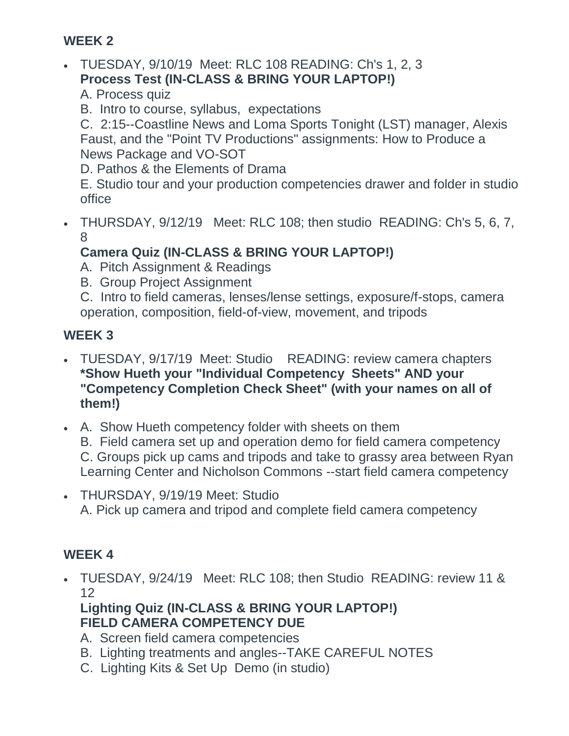## **WEEK 2**

- TUESDAY, 9/10/19 Meet: RLC 108 READING: Ch's 1, 2, 3 **Process Test (IN-CLASS & BRING YOUR LAPTOP!)**
	- A. Process quiz
	- B. Intro to course, syllabus, expectations

C. 2:15--Coastline News and Loma Sports Tonight (LST) manager, Alexis Faust, and the "Point TV Productions" assignments: How to Produce a News Package and VO-SOT

D. Pathos & the Elements of Drama

E. Studio tour and your production competencies drawer and folder in studio office

 THURSDAY, 9/12/19 Meet: RLC 108; then studio READING: Ch's 5, 6, 7, 8

## **Camera Quiz (IN-CLASS & BRING YOUR LAPTOP!)**

A. Pitch Assignment & Readings

B. Group Project Assignment

C. Intro to field cameras, lenses/lense settings, exposure/f-stops, camera operation, composition, field-of-view, movement, and tripods

## **WEEK 3**

- TUESDAY, 9/17/19 Meet: Studio READING: review camera chapters **\*Show Hueth your "Individual Competency Sheets" AND your "Competency Completion Check Sheet" (with your names on all of them!)**
- A. Show Hueth competency folder with sheets on them B. Field camera set up and operation demo for field camera competency C. Groups pick up cams and tripods and take to grassy area between Ryan Learning Center and Nicholson Commons --start field camera competency
- THURSDAY, 9/19/19 Meet: Studio A. Pick up camera and tripod and complete field camera competency

## **WEEK 4**

 TUESDAY, 9/24/19 Meet: RLC 108; then Studio READING: review 11 & 12

**Lighting Quiz (IN-CLASS & BRING YOUR LAPTOP!) FIELD CAMERA COMPETENCY DUE**

- A. Screen field camera competencies
- B. Lighting treatments and angles--TAKE CAREFUL NOTES
- C. Lighting Kits & Set Up Demo (in studio)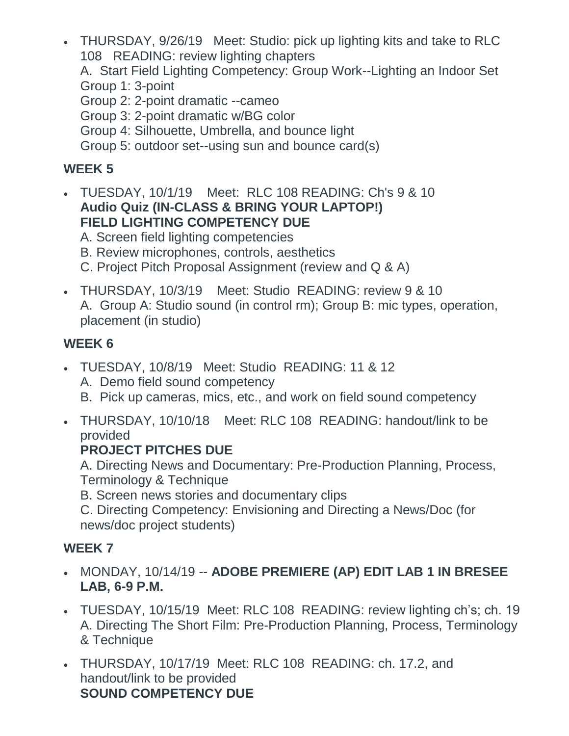THURSDAY, 9/26/19 Meet: Studio: pick up lighting kits and take to RLC 108 READING: review lighting chapters

A. Start Field Lighting Competency: Group Work--Lighting an Indoor Set Group 1: 3-point

Group 2: 2-point dramatic --cameo

Group 3: 2-point dramatic w/BG color

Group 4: Silhouette, Umbrella, and bounce light

Group 5: outdoor set--using sun and bounce card(s)

## **WEEK 5**

 TUESDAY, 10/1/19 Meet: RLC 108 READING: Ch's 9 & 10 **Audio Quiz (IN-CLASS & BRING YOUR LAPTOP!) FIELD LIGHTING COMPETENCY DUE**

A. Screen field lighting competencies

B. Review microphones, controls, aesthetics

C. Project Pitch Proposal Assignment (review and Q & A)

 THURSDAY, 10/3/19 Meet: Studio READING: review 9 & 10 A. Group A: Studio sound (in control rm); Group B: mic types, operation, placement (in studio)

## **WEEK 6**

- TUESDAY, 10/8/19 Meet: Studio READING: 11 & 12 A. Demo field sound competency B. Pick up cameras, mics, etc., and work on field sound competency
- THURSDAY, 10/10/18 Meet: RLC 108 READING: handout/link to be provided

## **PROJECT PITCHES DUE**

A. Directing News and Documentary: Pre-Production Planning, Process, Terminology & Technique

B. Screen news stories and documentary clips

C. Directing Competency: Envisioning and Directing a News/Doc (for news/doc project students)

## **WEEK 7**

- MONDAY, 10/14/19 -- **ADOBE PREMIERE (AP) EDIT LAB 1 IN BRESEE LAB, 6-9 P.M.**
- TUESDAY, 10/15/19 Meet: RLC 108 READING: review lighting ch's; ch. 19 A. Directing The Short Film: Pre-Production Planning, Process, Terminology & Technique
- THURSDAY, 10/17/19 Meet: RLC 108 READING: ch. 17.2, and handout/link to be provided **SOUND COMPETENCY DUE**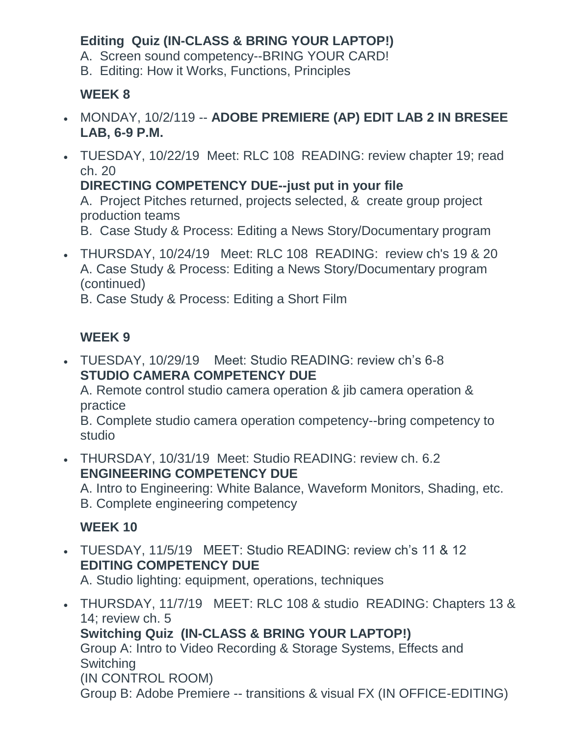## **Editing Quiz (IN-CLASS & BRING YOUR LAPTOP!)**

A. Screen sound competency--BRING YOUR CARD!

B. Editing: How it Works, Functions, Principles

## **WEEK 8**

- MONDAY, 10/2/119 -- **ADOBE PREMIERE (AP) EDIT LAB 2 IN BRESEE LAB, 6-9 P.M.**
- TUESDAY, 10/22/19 Meet: RLC 108 READING: review chapter 19; read ch. 20

**DIRECTING COMPETENCY DUE--just put in your file**

A. Project Pitches returned, projects selected, & create group project production teams

B. Case Study & Process: Editing a News Story/Documentary program

 THURSDAY, 10/24/19 Meet: RLC 108 READING: review ch's 19 & 20 A. Case Study & Process: Editing a News Story/Documentary program (continued)

B. Case Study & Process: Editing a Short Film

## **WEEK 9**

 TUESDAY, 10/29/19 Meet: Studio READING: review ch's 6-8 **STUDIO CAMERA COMPETENCY DUE**

A. Remote control studio camera operation & jib camera operation & practice

B. Complete studio camera operation competency--bring competency to studio

 THURSDAY, 10/31/19 Meet: Studio READING: review ch. 6.2 **ENGINEERING COMPETENCY DUE**

A. Intro to Engineering: White Balance, Waveform Monitors, Shading, etc. B. Complete engineering competency

## **WEEK 10**

 TUESDAY, 11/5/19 MEET: Studio READING: review ch's 11 & 12 **EDITING COMPETENCY DUE**

A. Studio lighting: equipment, operations, techniques

 THURSDAY, 11/7/19 MEET: RLC 108 & studio READING: Chapters 13 & 14; review ch. 5 **Switching Quiz (IN-CLASS & BRING YOUR LAPTOP!)** Group A: Intro to Video Recording & Storage Systems, Effects and **Switching** (IN CONTROL ROOM) Group B: Adobe Premiere -- transitions & visual FX (IN OFFICE-EDITING)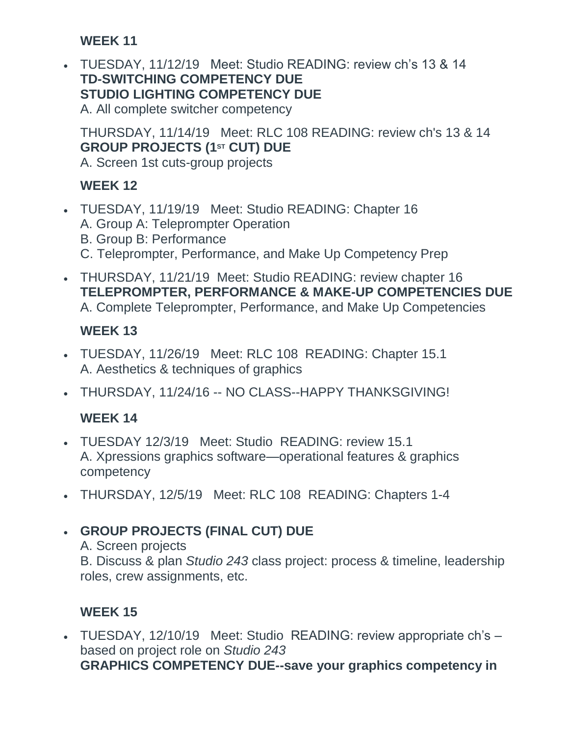## **WEEK 11**

 TUESDAY, 11/12/19 Meet: Studio READING: review ch's 13 & 14 **TD-SWITCHING COMPETENCY DUE STUDIO LIGHTING COMPETENCY DUE** A. All complete switcher competency

THURSDAY, 11/14/19 Meet: RLC 108 READING: review ch's 13 & 14 **GROUP PROJECTS (1ST CUT) DUE** A. Screen 1st cuts-group projects

## **WEEK 12**

- TUESDAY, 11/19/19 Meet: Studio READING: Chapter 16 A. Group A: Teleprompter Operation B. Group B: Performance C. Teleprompter, Performance, and Make Up Competency Prep
- THURSDAY, 11/21/19 Meet: Studio READING: review chapter 16 **TELEPROMPTER, PERFORMANCE & MAKE-UP COMPETENCIES DUE** A. Complete Teleprompter, Performance, and Make Up Competencies

## **WEEK 13**

- TUESDAY, 11/26/19 Meet: RLC 108 READING: Chapter 15.1 A. Aesthetics & techniques of graphics
- THURSDAY, 11/24/16 -- NO CLASS--HAPPY THANKSGIVING!

## **WEEK 14**

- TUESDAY 12/3/19 Meet: Studio READING: review 15.1 A. Xpressions graphics software—operational features & graphics competency
- THURSDAY, 12/5/19 Meet: RLC 108 READING: Chapters 1-4

## **GROUP PROJECTS (FINAL CUT) DUE**

### A. Screen projects

B. Discuss & plan *Studio 243* class project: process & timeline, leadership roles, crew assignments, etc.

## **WEEK 15**

 TUESDAY, 12/10/19 Meet: Studio READING: review appropriate ch's – based on project role on *Studio 243* **GRAPHICS COMPETENCY DUE--save your graphics competency in**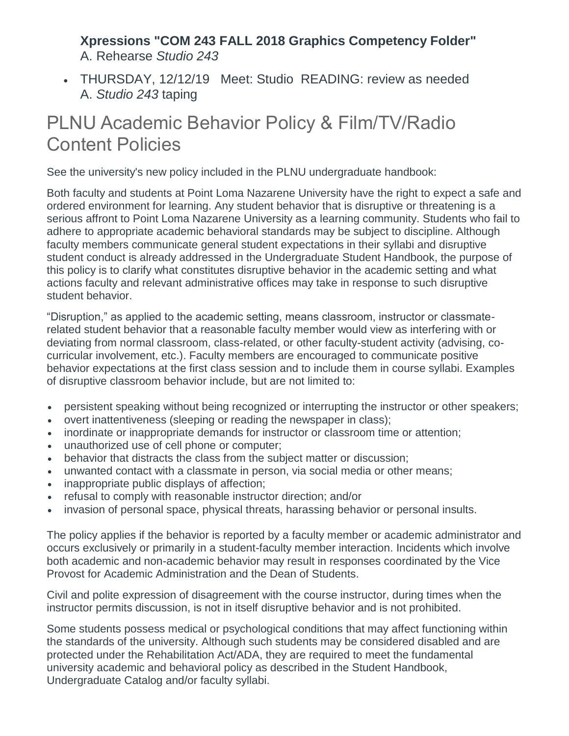### **Xpressions "COM 243 FALL 2018 Graphics Competency Folder"** A. Rehearse *Studio 243*

 THURSDAY, 12/12/19 Meet: Studio READING: review as needed A. *Studio 243* taping

## PLNU Academic Behavior Policy & Film/TV/Radio Content Policies

See the university's new policy included in the PLNU undergraduate handbook:

Both faculty and students at Point Loma Nazarene University have the right to expect a safe and ordered environment for learning. Any student behavior that is disruptive or threatening is a serious affront to Point Loma Nazarene University as a learning community. Students who fail to adhere to appropriate academic behavioral standards may be subject to discipline. Although faculty members communicate general student expectations in their syllabi and disruptive student conduct is already addressed in the Undergraduate Student Handbook, the purpose of this policy is to clarify what constitutes disruptive behavior in the academic setting and what actions faculty and relevant administrative offices may take in response to such disruptive student behavior.

"Disruption," as applied to the academic setting, means classroom, instructor or classmaterelated student behavior that a reasonable faculty member would view as interfering with or deviating from normal classroom, class-related, or other faculty-student activity (advising, cocurricular involvement, etc.). Faculty members are encouraged to communicate positive behavior expectations at the first class session and to include them in course syllabi. Examples of disruptive classroom behavior include, but are not limited to:

- persistent speaking without being recognized or interrupting the instructor or other speakers;
- overt inattentiveness (sleeping or reading the newspaper in class);
- inordinate or inappropriate demands for instructor or classroom time or attention;
- unauthorized use of cell phone or computer;
- behavior that distracts the class from the subject matter or discussion;
- unwanted contact with a classmate in person, via social media or other means;
- inappropriate public displays of affection;
- refusal to comply with reasonable instructor direction: and/or
- invasion of personal space, physical threats, harassing behavior or personal insults.

The policy applies if the behavior is reported by a faculty member or academic administrator and occurs exclusively or primarily in a student-faculty member interaction. Incidents which involve both academic and non-academic behavior may result in responses coordinated by the Vice Provost for Academic Administration and the Dean of Students.

Civil and polite expression of disagreement with the course instructor, during times when the instructor permits discussion, is not in itself disruptive behavior and is not prohibited.

Some students possess medical or psychological conditions that may affect functioning within the standards of the university. Although such students may be considered disabled and are protected under the Rehabilitation Act/ADA, they are required to meet the fundamental university academic and behavioral policy as described in the Student Handbook, Undergraduate Catalog and/or faculty syllabi.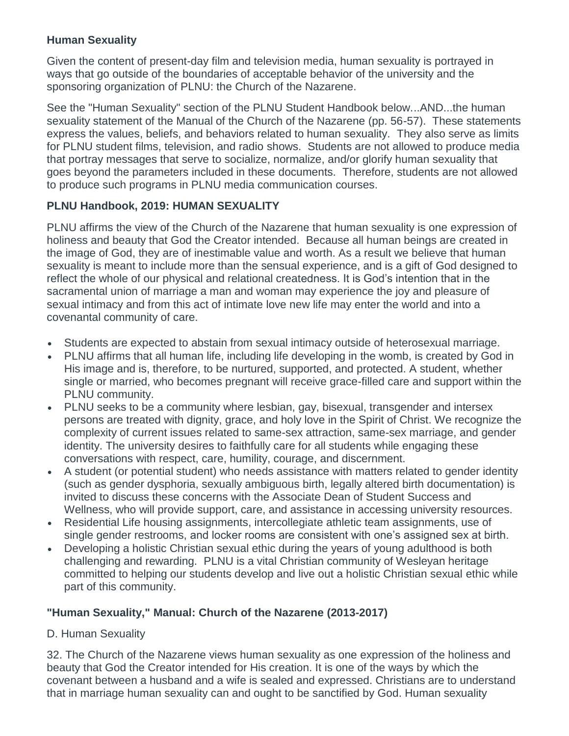#### **Human Sexuality**

Given the content of present-day film and television media, human sexuality is portrayed in ways that go outside of the boundaries of acceptable behavior of the university and the sponsoring organization of PLNU: the Church of the Nazarene.

See the "Human Sexuality" section of the PLNU Student Handbook below...AND...the human sexuality statement of the Manual of the Church of the Nazarene (pp. 56-57). These statements express the values, beliefs, and behaviors related to human sexuality. They also serve as limits for PLNU student films, television, and radio shows. Students are not allowed to produce media that portray messages that serve to socialize, normalize, and/or glorify human sexuality that goes beyond the parameters included in these documents. Therefore, students are not allowed to produce such programs in PLNU media communication courses.

#### **PLNU Handbook, 2019: HUMAN SEXUALITY**

PLNU affirms the view of the Church of the Nazarene that human sexuality is one expression of holiness and beauty that God the Creator intended. Because all human beings are created in the image of God, they are of inestimable value and worth. As a result we believe that human sexuality is meant to include more than the sensual experience, and is a gift of God designed to reflect the whole of our physical and relational createdness. It is God's intention that in the sacramental union of marriage a man and woman may experience the joy and pleasure of sexual intimacy and from this act of intimate love new life may enter the world and into a covenantal community of care.

- Students are expected to abstain from sexual intimacy outside of heterosexual marriage.
- PLNU affirms that all human life, including life developing in the womb, is created by God in His image and is, therefore, to be nurtured, supported, and protected. A student, whether single or married, who becomes pregnant will receive grace-filled care and support within the PLNU community.
- PLNU seeks to be a community where lesbian, gay, bisexual, transgender and intersex persons are treated with dignity, grace, and holy love in the Spirit of Christ. We recognize the complexity of current issues related to same-sex attraction, same-sex marriage, and gender identity. The university desires to faithfully care for all students while engaging these conversations with respect, care, humility, courage, and discernment.
- A student (or potential student) who needs assistance with matters related to gender identity (such as gender dysphoria, sexually ambiguous birth, legally altered birth documentation) is invited to discuss these concerns with the Associate Dean of Student Success and Wellness, who will provide support, care, and assistance in accessing university resources.
- Residential Life housing assignments, intercollegiate athletic team assignments, use of single gender restrooms, and locker rooms are consistent with one's assigned sex at birth.
- Developing a holistic Christian sexual ethic during the years of young adulthood is both challenging and rewarding. PLNU is a vital Christian community of Wesleyan heritage committed to helping our students develop and live out a holistic Christian sexual ethic while part of this community.

### **"Human Sexuality," Manual: Church of the Nazarene (2013-2017)**

### D. Human Sexuality

32. The Church of the Nazarene views human sexuality as one expression of the holiness and beauty that God the Creator intended for His creation. It is one of the ways by which the covenant between a husband and a wife is sealed and expressed. Christians are to understand that in marriage human sexuality can and ought to be sanctified by God. Human sexuality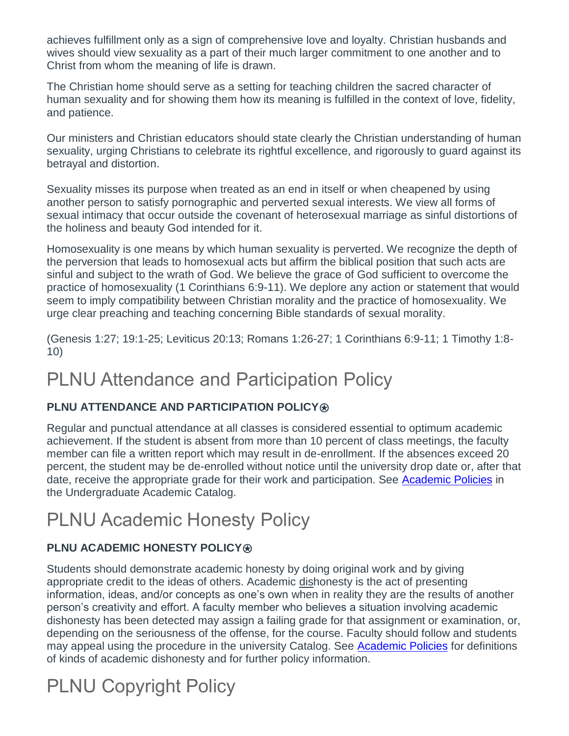achieves fulfillment only as a sign of comprehensive love and loyalty. Christian husbands and wives should view sexuality as a part of their much larger commitment to one another and to Christ from whom the meaning of life is drawn.

The Christian home should serve as a setting for teaching children the sacred character of human sexuality and for showing them how its meaning is fulfilled in the context of love, fidelity, and patience.

Our ministers and Christian educators should state clearly the Christian understanding of human sexuality, urging Christians to celebrate its rightful excellence, and rigorously to guard against its betrayal and distortion.

Sexuality misses its purpose when treated as an end in itself or when cheapened by using another person to satisfy pornographic and perverted sexual interests. We view all forms of sexual intimacy that occur outside the covenant of heterosexual marriage as sinful distortions of the holiness and beauty God intended for it.

Homosexuality is one means by which human sexuality is perverted. We recognize the depth of the perversion that leads to homosexual acts but affirm the biblical position that such acts are sinful and subject to the wrath of God. We believe the grace of God sufficient to overcome the practice of homosexuality (1 Corinthians 6:9-11). We deplore any action or statement that would seem to imply compatibility between Christian morality and the practice of homosexuality. We urge clear preaching and teaching concerning Bible standards of sexual morality.

(Genesis 1:27; 19:1-25; Leviticus 20:13; Romans 1:26-27; 1 Corinthians 6:9-11; 1 Timothy 1:8- 10)

## PLNU Attendance and Participation Policy

### **PLNU ATTENDANCE AND PARTICIPATION POLICY<sup>®</sup>**

Regular and punctual attendance at all classes is considered essential to optimum academic achievement. If the student is absent from more than 10 percent of class meetings, the faculty member can file a written report which may result in de-enrollment. If the absences exceed 20 percent, the student may be de-enrolled without notice until the university drop date or, after that date, receive the appropriate grade for their work and participation. See [Academic Policies](http://catalog.pointloma.edu/content.php?catoid=18&navoid=1278) in the Undergraduate Academic Catalog.

# PLNU Academic Honesty Policy

## **PLNU ACADEMIC HONESTY POLICY⊛**

Students should demonstrate academic honesty by doing original work and by giving appropriate credit to the ideas of others. Academic dishonesty is the act of presenting information, ideas, and/or concepts as one's own when in reality they are the results of another person's creativity and effort. A faculty member who believes a situation involving academic dishonesty has been detected may assign a failing grade for that assignment or examination, or, depending on the seriousness of the offense, for the course. Faculty should follow and students may appeal using the procedure in the university Catalog. See [Academic Policies](http://catalog.pointloma.edu/content.php?catoid=18&navoid=1278) for definitions of kinds of academic dishonesty and for further policy information.

# PLNU Copyright Policy